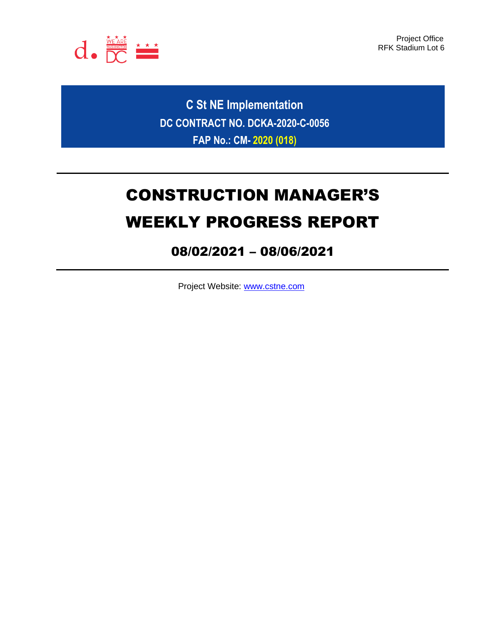

Project Office RFK Stadium Lot 6

**C St NE Implementation DC CONTRACT NO. DCKA-2020-C-0056 FAP No.: CM- 2020 (018)**

# CONSTRUCTION MANAGER'S WEEKLY PROGRESS REPORT

## 08/02/2021 – 08/06/2021

Project Website: [www.cstne.com](http://www.cstne.com/)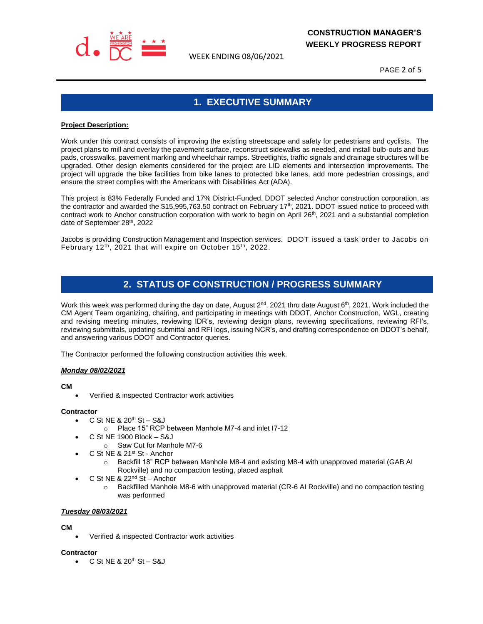

WEEK ENDING 08/06/2021

PAGE 2 of 5

## **1. EXECUTIVE SUMMARY**

#### **Project Description:**

Work under this contract consists of improving the existing streetscape and safety for pedestrians and cyclists. The project plans to mill and overlay the pavement surface, reconstruct sidewalks as needed, and install bulb-outs and bus pads, crosswalks, pavement marking and wheelchair ramps. Streetlights, traffic signals and drainage structures will be upgraded. Other design elements considered for the project are LID elements and intersection improvements. The project will upgrade the bike facilities from bike lanes to protected bike lanes, add more pedestrian crossings, and ensure the street complies with the Americans with Disabilities Act (ADA).

This project is 83% Federally Funded and 17% District-Funded. DDOT selected Anchor construction corporation. as the contractor and awarded the \$15,995,763.50 contract on February 17th, 2021. DDOT issued notice to proceed with contract work to Anchor construction corporation with work to begin on April  $26<sup>th</sup>$ , 2021 and a substantial completion date of September 28th, 2022

Jacobs is providing Construction Management and Inspection services. DDOT issued a task order to Jacobs on February 12<sup>th</sup>, 2021 that will expire on October 15<sup>th</sup>, 2022.

## **2. STATUS OF CONSTRUCTION / PROGRESS SUMMARY**

Work this week was performed during the day on date, August 2<sup>nd</sup>, 2021 thru date August 6<sup>th</sup>, 2021. Work included the CM Agent Team organizing, chairing, and participating in meetings with DDOT, Anchor Construction, WGL, creating and revising meeting minutes, reviewing IDR's, reviewing design plans, reviewing specifications, reviewing RFI's, reviewing submittals, updating submittal and RFI logs, issuing NCR's, and drafting correspondence on DDOT's behalf, and answering various DDOT and Contractor queries.

The Contractor performed the following construction activities this week.

#### *Monday 08/02/2021*

#### **CM**

• Verified & inspected Contractor work activities

#### **Contractor**

- $\bullet$  C St NE & 20<sup>th</sup> St S&J
	- o Place 15" RCP between Manhole M7-4 and inlet I7-12
- C St NE 1900 Block S&J
	- o Saw Cut for Manhole M7-6
- C St NE & 21st St Anchor
	- o Backfill 18" RCP between Manhole M8-4 and existing M8-4 with unapproved material (GAB AI Rockville) and no compaction testing, placed asphalt
- C St NE & 22<sup>nd</sup> St Anchor
	- Backfilled Manhole M8-6 with unapproved material (CR-6 AI Rockville) and no compaction testing was performed

#### *Tuesday 08/03/2021*

#### **CM**

• Verified & inspected Contractor work activities

#### **Contractor**

 $\bullet$  C St NE & 20<sup>th</sup> St – S&J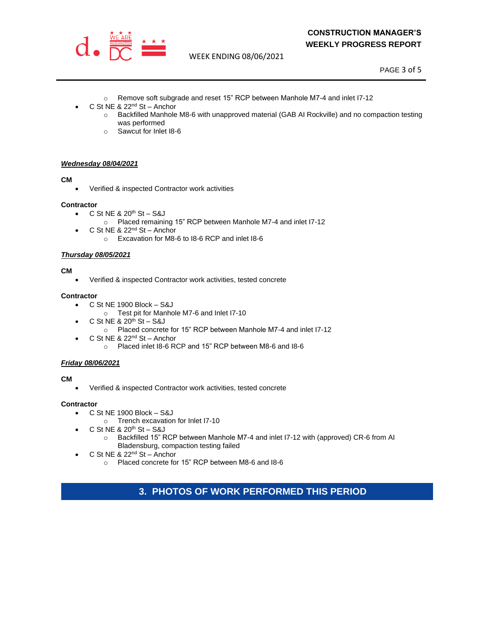

### **CONSTRUCTION MANAGER'S WEEKLY PROGRESS REPORT**

WEEK ENDING 08/06/2021

PAGE 3 of 5

- o Remove soft subgrade and reset 15" RCP between Manhole M7-4 and inlet I7-12
- C St NE & 22<sup>nd</sup> St Anchor
	- o Backfilled Manhole M8-6 with unapproved material (GAB AI Rockville) and no compaction testing was performed
	- o Sawcut for Inlet I8-6

#### *Wednesday 08/04/2021*

#### **CM**

• Verified & inspected Contractor work activities

#### **Contractor**

- C St NE  $8.20<sup>th</sup>$  St S&J
	- o Placed remaining 15" RCP between Manhole M7-4 and inlet I7-12
- C St NE & 22<sup>nd</sup> St Anchor
	- o Excavation for M8-6 to I8-6 RCP and inlet I8-6

#### *Thursday 08/05/2021*

#### **CM**

• Verified & inspected Contractor work activities, tested concrete

#### **Contractor**

- C St NE 1900 Block S&J
	- o Test pit for Manhole M7-6 and Inlet I7-10
- $\bullet$  C St NE & 20<sup>th</sup> St S&J
	- o Placed concrete for 15" RCP between Manhole M7-4 and inlet I7-12
- C St NE & 22<sup>nd</sup> St Anchor
	- o Placed inlet I8-6 RCP and 15" RCP between M8-6 and I8-6

#### *Friday 08/06/2021*

#### **CM**

• Verified & inspected Contractor work activities, tested concrete

#### **Contractor**

- C St NE 1900 Block S&J
	- o Trench excavation for Inlet I7-10
- $\bullet$  C St NE & 20<sup>th</sup> St S&J
	- o Backfilled 15" RCP between Manhole M7-4 and inlet I7-12 with (approved) CR-6 from AI Bladensburg, compaction testing failed
- C St NE & 22<sup>nd</sup> St Anchor
	- o Placed concrete for 15" RCP between M8-6 and I8-6

## **3. PHOTOS OF WORK PERFORMED THIS PERIOD**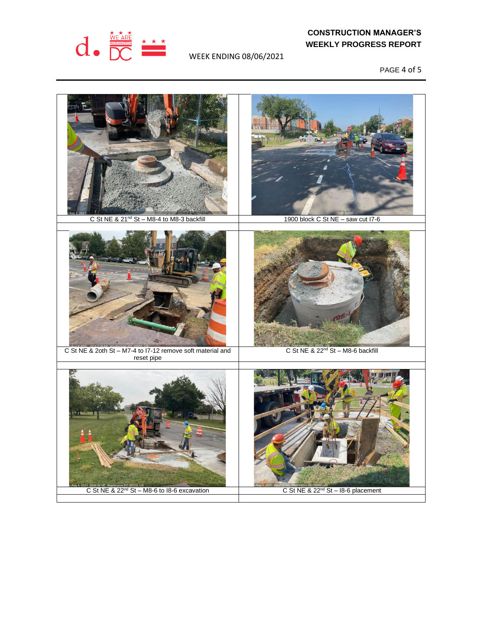

## **CONSTRUCTION MANAGER'S WEEKLY PROGRESS REPORT**

WEEK ENDING 08/06/2021

PAGE 4 of 5